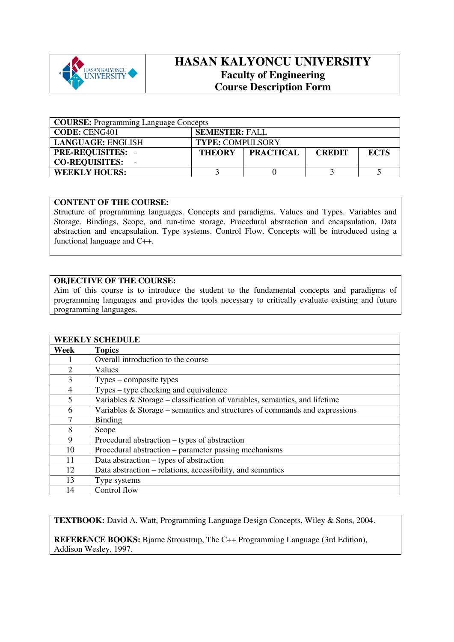

## **HASAN KALYONCU UNIVERSITY Faculty of Engineering Course Description Form**

| <b>COURSE:</b> Programming Language Concepts |                                                                   |  |  |  |  |  |
|----------------------------------------------|-------------------------------------------------------------------|--|--|--|--|--|
| <b>CODE: CENG401</b>                         | <b>SEMESTER: FALL</b>                                             |  |  |  |  |  |
| LANGUAGE: ENGLISH                            | <b>TYPE: COMPULSORY</b>                                           |  |  |  |  |  |
| <b>PRE-REQUISITES:</b>                       | <b>PRACTICAL</b><br><b>ECTS</b><br><b>THEORY</b><br><b>CREDIT</b> |  |  |  |  |  |
| <b>CO-REQUISITES:</b>                        |                                                                   |  |  |  |  |  |
| <b>WEEKLY HOURS:</b>                         |                                                                   |  |  |  |  |  |

## **CONTENT OF THE COURSE:**

Structure of programming languages. Concepts and paradigms. Values and Types. Variables and Storage. Bindings, Scope, and run-time storage. Procedural abstraction and encapsulation. Data abstraction and encapsulation. Type systems. Control Flow. Concepts will be introduced using a functional language and C++.

## **OBJECTIVE OF THE COURSE:**

Aim of this course is to introduce the student to the fundamental concepts and paradigms of programming languages and provides the tools necessary to critically evaluate existing and future programming languages.

|      | <b>WEEKLY SCHEDULE</b>                                                        |
|------|-------------------------------------------------------------------------------|
| Week | <b>Topics</b>                                                                 |
|      | Overall introduction to the course                                            |
| 2    | Values                                                                        |
| 3    | $Types$ – composite types                                                     |
| 4    | $Types - type checking and equivalence$                                       |
| 5    | Variables $\&$ Storage – classification of variables, semantics, and lifetime |
| 6    | Variables $\&$ Storage – semantics and structures of commands and expressions |
| 7    | <b>Binding</b>                                                                |
| 8    | Scope                                                                         |
| 9    | Procedural abstraction – types of abstraction                                 |
| 10   | Procedural abstraction – parameter passing mechanisms                         |
| 11   | Data abstraction $-$ types of abstraction                                     |
| 12   | Data abstraction – relations, accessibility, and semantics                    |
| 13   | Type systems                                                                  |
| 14   | Control flow                                                                  |

**TEXTBOOK:** David A. Watt, Programming Language Design Concepts, Wiley & Sons, 2004.

**REFERENCE BOOKS:** Bjarne Stroustrup, The C++ Programming Language (3rd Edition), Addison Wesley, 1997.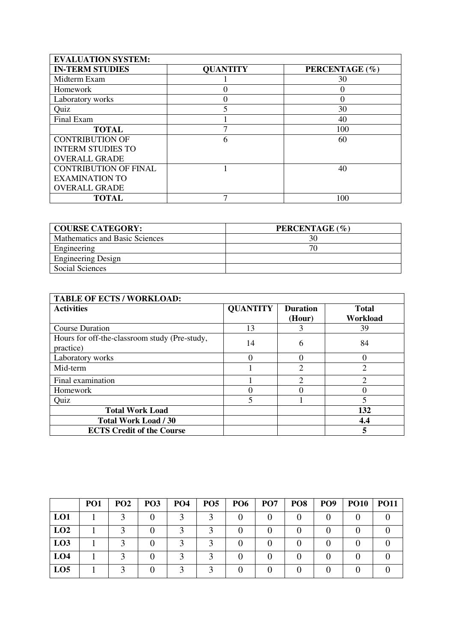| <b>EVALUATION SYSTEM:</b>    |                 |                |  |  |  |  |
|------------------------------|-----------------|----------------|--|--|--|--|
| <b>IN-TERM STUDIES</b>       | <b>QUANTITY</b> | PERCENTAGE (%) |  |  |  |  |
| Midterm Exam                 |                 | 30             |  |  |  |  |
| Homework                     |                 | 0              |  |  |  |  |
| Laboratory works             | 0               | $\Omega$       |  |  |  |  |
| Quiz                         |                 | 30             |  |  |  |  |
| Final Exam                   |                 | 40             |  |  |  |  |
| <b>TOTAL</b>                 |                 | 100            |  |  |  |  |
| <b>CONTRIBUTION OF</b>       | 6               | 60             |  |  |  |  |
| <b>INTERM STUDIES TO</b>     |                 |                |  |  |  |  |
| <b>OVERALL GRADE</b>         |                 |                |  |  |  |  |
| <b>CONTRIBUTION OF FINAL</b> |                 | 40             |  |  |  |  |
| <b>EXAMINATION TO</b>        |                 |                |  |  |  |  |
| <b>OVERALL GRADE</b>         |                 |                |  |  |  |  |
| <b>TOTAL</b>                 |                 | 100            |  |  |  |  |

| <b>COURSE CATEGORY:</b>        | PERCENTAGE (%) |
|--------------------------------|----------------|
| Mathematics and Basic Sciences | 30             |
| Engineering                    | 70             |
| <b>Engineering Design</b>      |                |
| Social Sciences                |                |

| <b>TABLE OF ECTS / WORKLOAD:</b>                           |                 |                           |                          |  |  |  |
|------------------------------------------------------------|-----------------|---------------------------|--------------------------|--|--|--|
| <b>Activities</b>                                          | <b>QUANTITY</b> | <b>Duration</b><br>(Hour) | <b>Total</b><br>Workload |  |  |  |
| <b>Course Duration</b>                                     | 13              |                           | 39                       |  |  |  |
| Hours for off-the-classroom study (Pre-study,<br>practice) | 14              | 6                         | 84                       |  |  |  |
| Laboratory works                                           | 0               |                           |                          |  |  |  |
| Mid-term                                                   |                 | 2                         | $\overline{2}$           |  |  |  |
| Final examination                                          |                 | 2                         | $\overline{2}$           |  |  |  |
| Homework                                                   | 0               |                           |                          |  |  |  |
| Quiz                                                       | 5               |                           | $\overline{\phantom{0}}$ |  |  |  |
| <b>Total Work Load</b>                                     |                 |                           | 132                      |  |  |  |
| <b>Total Work Load / 30</b>                                |                 |                           | 4.4                      |  |  |  |
| <b>ECTS Credit of the Course</b>                           |                 |                           | 5                        |  |  |  |

|                 | PO <sub>1</sub> | PO <sub>2</sub> | PO <sub>3</sub> | PO <sub>4</sub> | PO <sub>5</sub> | PO <sub>6</sub> | <b>PO7</b> | PO <sub>8</sub> | PO <sub>9</sub> | <b>PO10</b> | <b>PO11</b> |
|-----------------|-----------------|-----------------|-----------------|-----------------|-----------------|-----------------|------------|-----------------|-----------------|-------------|-------------|
| LO1             |                 |                 |                 |                 |                 |                 |            |                 |                 |             |             |
| LO2             |                 |                 |                 |                 |                 |                 |            |                 |                 |             |             |
| LO3             |                 |                 |                 |                 |                 |                 |            |                 |                 |             |             |
| LO <sub>4</sub> |                 |                 |                 |                 |                 |                 |            |                 |                 |             |             |
| LO <sub>5</sub> |                 |                 |                 |                 |                 |                 |            |                 |                 |             |             |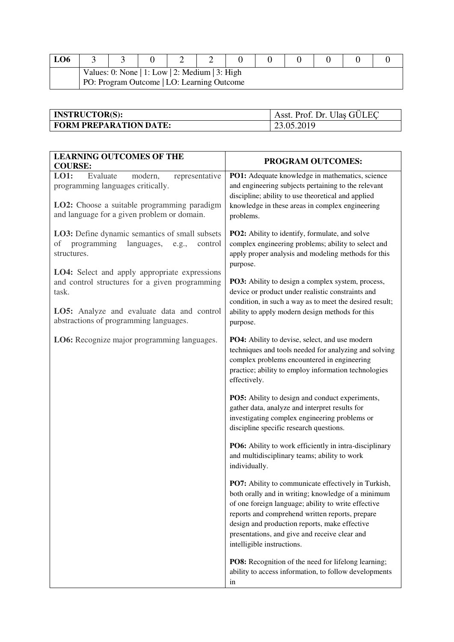| LO <sub>6</sub>                                                                              |  |  |  |  |  |  |  |  |
|----------------------------------------------------------------------------------------------|--|--|--|--|--|--|--|--|
| Values: 0: None   1: Low   2: Medium   3: High<br>PO: Program Outcome   LO: Learning Outcome |  |  |  |  |  |  |  |  |

| <b>INSTRUCTOR(S):</b>         | Asst. Prof. Dr. Ulas GÜLEC |
|-------------------------------|----------------------------|
| <b>FORM PREPARATION DATE:</b> | 23.05.2019                 |

| <b>LEARNING OUTCOMES OF THE</b><br><b>COURSE:</b>                                                                                                                                                | PROGRAM OUTCOMES:                                                                                                                                                                                                                                                                                                                                   |
|--------------------------------------------------------------------------------------------------------------------------------------------------------------------------------------------------|-----------------------------------------------------------------------------------------------------------------------------------------------------------------------------------------------------------------------------------------------------------------------------------------------------------------------------------------------------|
| LO1:<br>Evaluate<br>representative<br>modern,<br>programming languages critically.<br>LO2: Choose a suitable programming paradigm<br>and language for a given problem or domain.                 | PO1: Adequate knowledge in mathematics, science<br>and engineering subjects pertaining to the relevant<br>discipline; ability to use theoretical and applied<br>knowledge in these areas in complex engineering<br>problems.                                                                                                                        |
| LO3: Define dynamic semantics of small subsets<br>programming<br>languages,<br>οf<br>control<br>e.g.,<br>structures.                                                                             | PO2: Ability to identify, formulate, and solve<br>complex engineering problems; ability to select and<br>apply proper analysis and modeling methods for this<br>purpose.                                                                                                                                                                            |
| LO4: Select and apply appropriate expressions<br>and control structures for a given programming<br>task.<br>LO5: Analyze and evaluate data and control<br>abstractions of programming languages. | <b>PO3:</b> Ability to design a complex system, process,<br>device or product under realistic constraints and<br>condition, in such a way as to meet the desired result;<br>ability to apply modern design methods for this<br>purpose.                                                                                                             |
| LO6: Recognize major programming languages.                                                                                                                                                      | PO4: Ability to devise, select, and use modern<br>techniques and tools needed for analyzing and solving<br>complex problems encountered in engineering<br>practice; ability to employ information technologies<br>effectively.                                                                                                                      |
|                                                                                                                                                                                                  | PO5: Ability to design and conduct experiments,<br>gather data, analyze and interpret results for<br>investigating complex engineering problems or<br>discipline specific research questions.                                                                                                                                                       |
|                                                                                                                                                                                                  | PO6: Ability to work efficiently in intra-disciplinary<br>and multidisciplinary teams; ability to work<br>individually.                                                                                                                                                                                                                             |
|                                                                                                                                                                                                  | PO7: Ability to communicate effectively in Turkish,<br>both orally and in writing; knowledge of a minimum<br>of one foreign language; ability to write effective<br>reports and comprehend written reports, prepare<br>design and production reports, make effective<br>presentations, and give and receive clear and<br>intelligible instructions. |
|                                                                                                                                                                                                  | PO8: Recognition of the need for lifelong learning;<br>ability to access information, to follow developments<br>in                                                                                                                                                                                                                                  |